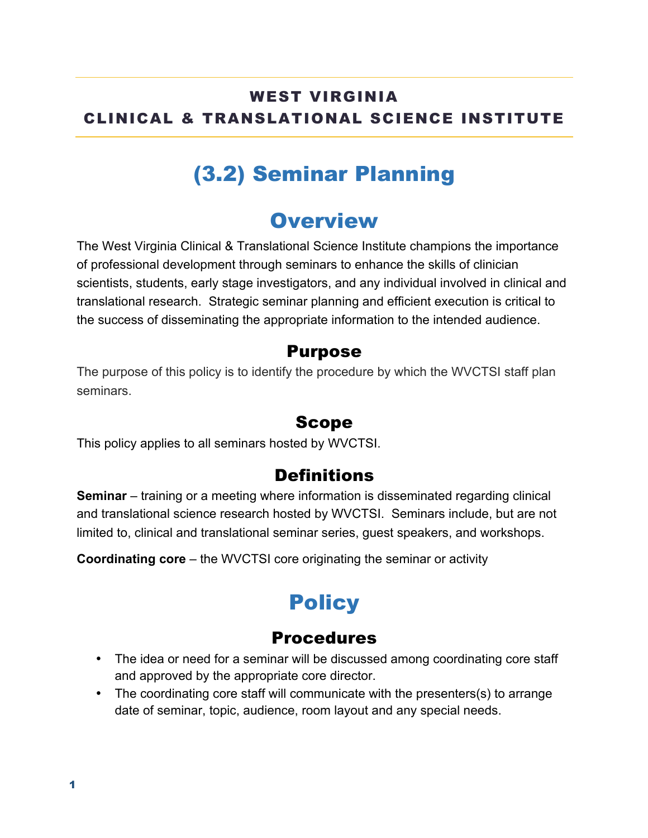#### WEST VIRGINIA CLINICAL & TRANSLATIONAL SCIENCE INSTITUTE

# (3.2) Seminar Planning

### **Overview**

The West Virginia Clinical & Translational Science Institute champions the importance of professional development through seminars to enhance the skills of clinician scientists, students, early stage investigators, and any individual involved in clinical and translational research. Strategic seminar planning and efficient execution is critical to the success of disseminating the appropriate information to the intended audience.

#### Purpose

The purpose of this policy is to identify the procedure by which the WVCTSI staff plan seminars.

#### Scope

This policy applies to all seminars hosted by WVCTSI.

### **Definitions**

**Seminar** – training or a meeting where information is disseminated regarding clinical and translational science research hosted by WVCTSI. Seminars include, but are not limited to, clinical and translational seminar series, guest speakers, and workshops.

**Coordinating core** – the WVCTSI core originating the seminar or activity

## **Policy**

#### **Procedures**

- The idea or need for a seminar will be discussed among coordinating core staff and approved by the appropriate core director.
- The coordinating core staff will communicate with the presenters(s) to arrange date of seminar, topic, audience, room layout and any special needs.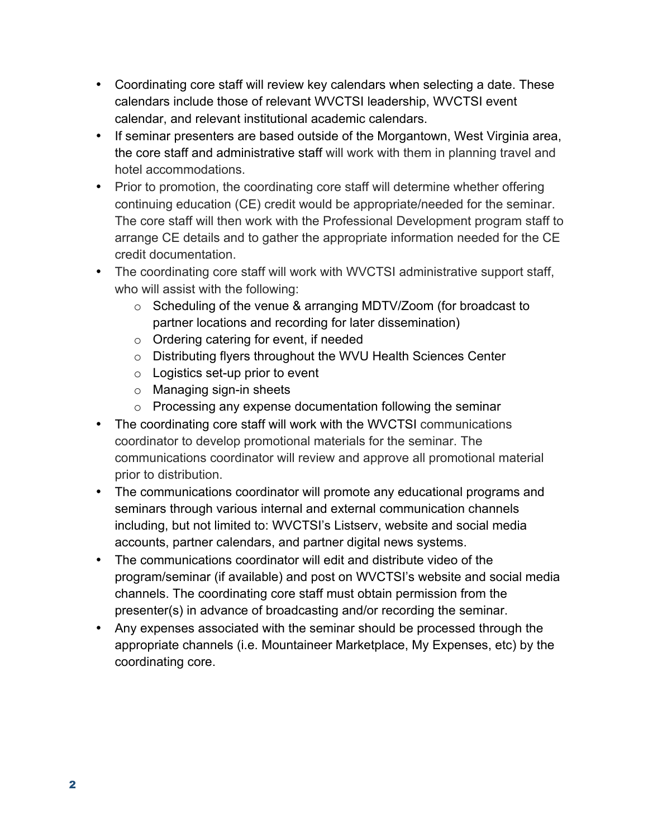- Coordinating core staff will review key calendars when selecting a date. These calendars include those of relevant WVCTSI leadership, WVCTSI event calendar, and relevant institutional academic calendars.
- If seminar presenters are based outside of the Morgantown, West Virginia area, the core staff and administrative staff will work with them in planning travel and hotel accommodations.
- Prior to promotion, the coordinating core staff will determine whether offering continuing education (CE) credit would be appropriate/needed for the seminar. The core staff will then work with the Professional Development program staff to arrange CE details and to gather the appropriate information needed for the CE credit documentation.
- The coordinating core staff will work with WVCTSI administrative support staff, who will assist with the following:
	- o Scheduling of the venue & arranging MDTV/Zoom (for broadcast to partner locations and recording for later dissemination)
	- o Ordering catering for event, if needed
	- o Distributing flyers throughout the WVU Health Sciences Center
	- $\circ$  Logistics set-up prior to event
	- o Managing sign-in sheets
	- o Processing any expense documentation following the seminar
- The coordinating core staff will work with the WVCTSI communications coordinator to develop promotional materials for the seminar. The communications coordinator will review and approve all promotional material prior to distribution.
- The communications coordinator will promote any educational programs and seminars through various internal and external communication channels including, but not limited to: WVCTSI's Listserv, website and social media accounts, partner calendars, and partner digital news systems.
- The communications coordinator will edit and distribute video of the program/seminar (if available) and post on WVCTSI's website and social media channels. The coordinating core staff must obtain permission from the presenter(s) in advance of broadcasting and/or recording the seminar.
- Any expenses associated with the seminar should be processed through the appropriate channels (i.e. Mountaineer Marketplace, My Expenses, etc) by the coordinating core.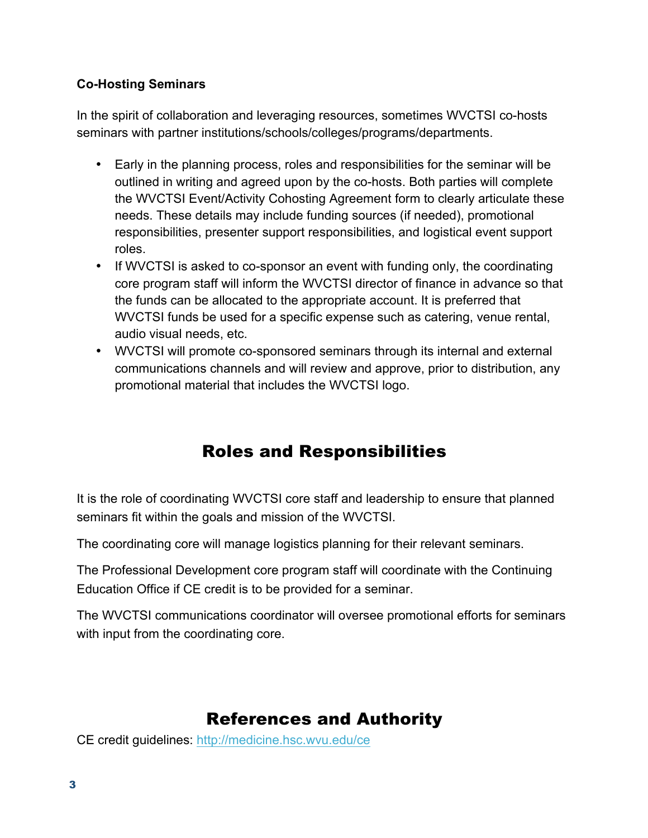#### **Co-Hosting Seminars**

In the spirit of collaboration and leveraging resources, sometimes WVCTSI co-hosts seminars with partner institutions/schools/colleges/programs/departments.

- Early in the planning process, roles and responsibilities for the seminar will be outlined in writing and agreed upon by the co-hosts. Both parties will complete the WVCTSI Event/Activity Cohosting Agreement form to clearly articulate these needs. These details may include funding sources (if needed), promotional responsibilities, presenter support responsibilities, and logistical event support roles.
- If WVCTSI is asked to co-sponsor an event with funding only, the coordinating core program staff will inform the WVCTSI director of finance in advance so that the funds can be allocated to the appropriate account. It is preferred that WVCTSI funds be used for a specific expense such as catering, venue rental, audio visual needs, etc.
- WVCTSI will promote co-sponsored seminars through its internal and external communications channels and will review and approve, prior to distribution, any promotional material that includes the WVCTSI logo.

### Roles and Responsibilities

It is the role of coordinating WVCTSI core staff and leadership to ensure that planned seminars fit within the goals and mission of the WVCTSI.

The coordinating core will manage logistics planning for their relevant seminars.

The Professional Development core program staff will coordinate with the Continuing Education Office if CE credit is to be provided for a seminar.

The WVCTSI communications coordinator will oversee promotional efforts for seminars with input from the coordinating core.

### References and Authority

CE credit guidelines: http://medicine.hsc.wvu.edu/ce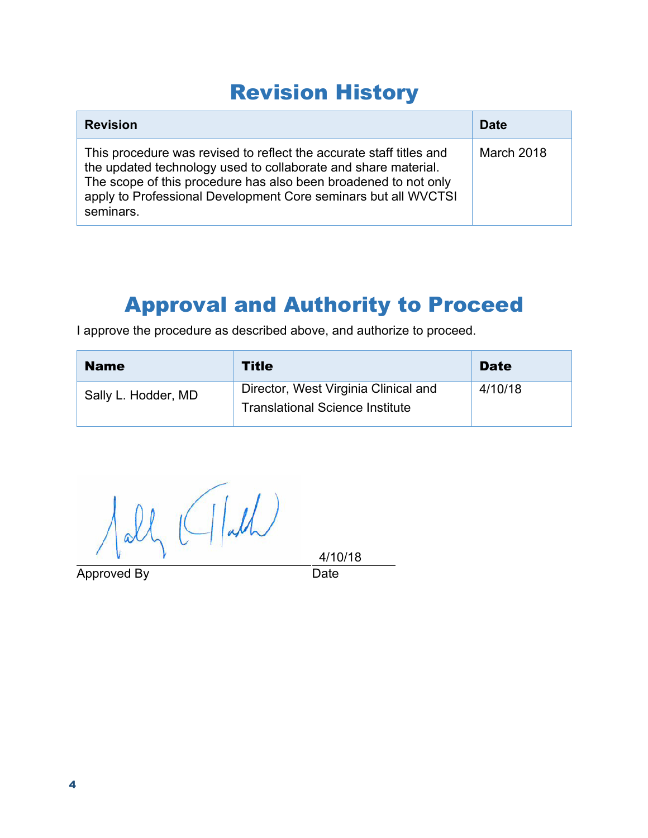# Revision History

| <b>Revision</b>                                                                                                                                                                                                                                                                         | <b>Date</b> |
|-----------------------------------------------------------------------------------------------------------------------------------------------------------------------------------------------------------------------------------------------------------------------------------------|-------------|
| This procedure was revised to reflect the accurate staff titles and<br>the updated technology used to collaborate and share material.<br>The scope of this procedure has also been broadened to not only<br>apply to Professional Development Core seminars but all WVCTSI<br>seminars. | March 2018  |

## Approval and Authority to Proceed

I approve the procedure as described above, and authorize to proceed.

| <b>Name</b>         | <b>Title</b>                                                                   | <b>Date</b> |
|---------------------|--------------------------------------------------------------------------------|-------------|
| Sally L. Hodder, MD | Director, West Virginia Clinical and<br><b>Translational Science Institute</b> | 4/10/18     |

 $\bigwedge \text{all} \big( \big( \bigwedge \text{all} \big)$ 

Approved By Date

4/10/18